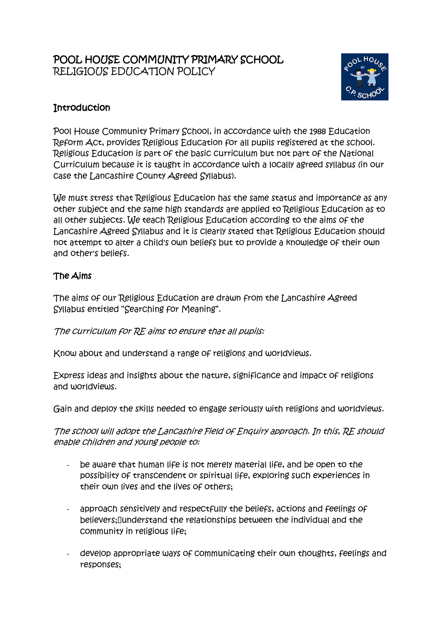## POOL HOUSE COMMUNITY PRIMARY SCHOOL RELIGIOUS EDUCATION POLICY



# **Introduction**

Pool House Community Primary School, in accordance with the 1988 Education Reform Act, provides Religious Education for all pupils registered at the school. Religious Education is part of the basic curriculum but not part of the National Curriculum because it is taught in accordance with a locally agreed syllabus (in our case the Lancashire County Agreed Syllabus).

We must stress that Religious Education has the same status and importance as any other subject and the same high standards are applied to Religious Education as to all other subjects. We teach Religious Education according to the aims of the Lancashire Agreed Syllabus and it is clearly stated that Religious Education should not attempt to alter a child's own beliefs but to provide a knowledge of their own and other's beliefs.

### The Aims

The aims of our Religious Education are drawn from the Lancashire Agreed Syllabus entitled "Searching for Meaning".

The curriculum for RE aims to ensure that all pupils:

Know about and understand a range of religions and worldviews.

Express ideas and insights about the nature, significance and impact of religions and worldviews.

Gain and deploy the skills needed to engage seriously with religions and worldviews.

The school will adopt the Lancashire Field of Enquiry approach. In this, RE should enable children and young people to:

- be aware that human life is not merely material life, and be open to the possibility of transcendent or spiritual life, exploring such experiences in their own lives and the lives of others;
- approach sensitively and respectfully the beliefs, actions and feelings of believers; I understand the relationships between the individual and the community in religious life;
- develop appropriate ways of communicating their own thoughts, feelings and responses;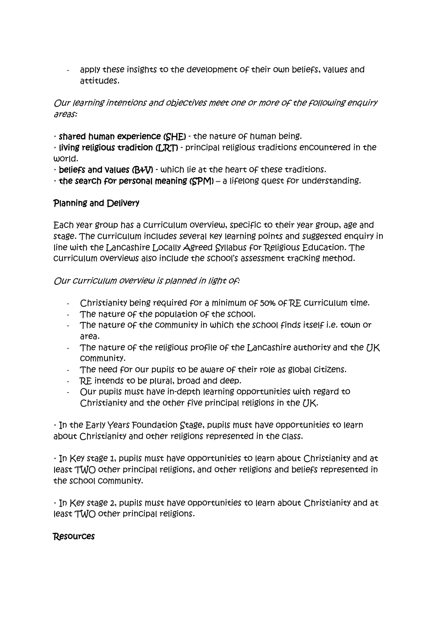- apply these insights to the development of their own beliefs, values and attitudes.

#### Our learning intentions and objectives meet one or more of the following enquiry areas:

· shared human experience (SHE) - the nature of human being.

· living religious tradition (LRT) - principal religious traditions encountered in the world.

· beliefs and values (B&V) - which lie at the heart of these traditions.

 $\cdot$  the search for personal meaning (SPM) – a lifelong quest for understanding.

### Planning and Delivery

Each year group has a curriculum overview, specific to their year group, age and stage. The curriculum includes several key learning points and suggested enquiry in line with the Lancashire Locally Agreed Syllabus for Religious Education. The curriculum overviews also include the school's assessment tracking method.

#### Our curriculum overview is planned in light of:

- Christianity being required for a minimum of 50% of RE curriculum time.
- The nature of the population of the school.
- The nature of the community in which the school finds itself i.e. town or area.
- The nature of the religious profile of the Lancashire authority and the  $\overline{U}K$ community.
- The need for our pupils to be aware of their role as global citizens.
- RE intends to be plural, broad and deep.
- Our pupils must have in-depth learning opportunities with regard to Christianity and the other five principal religions in the UK.

· In the Early Years Foundation Stage, pupils must have opportunities to learn about Christianity and other religions represented in the class.

· In Key stage 1, pupils must have opportunities to learn about Christianity and at least TWO other principal religions, and other religions and beliefs represented in the school community.

· In Key stage 2, pupils must have opportunities to learn about Christianity and at least TWO other principal religions.

### Resources